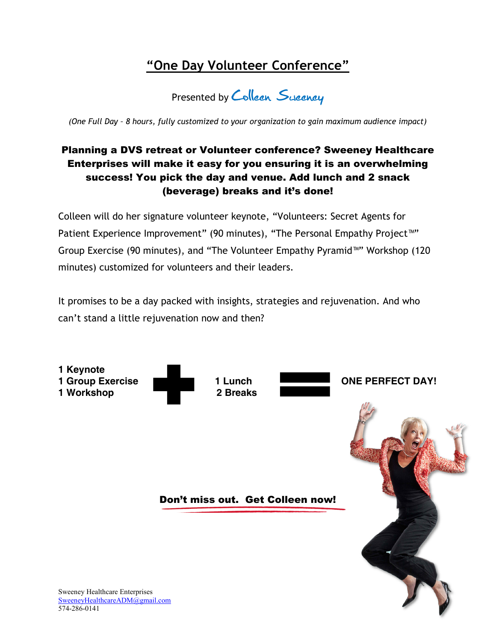# **"One Day Volunteer Conference"**

Presented by Colleen Sucency

*(One Full Day – 8 hours, fully customized to your organization to gain maximum audience impact)* 

### Planning a DVS retreat or Volunteer conference? Sweeney Healthcare Enterprises will make it easy for you ensuring it is an overwhelming success! You pick the day and venue. Add lunch and 2 snack (beverage) breaks and it's done!

Colleen will do her signature volunteer keynote, "Volunteers: Secret Agents for Patient Experience Improvement" (90 minutes), "The Personal Empathy Project™" Group Exercise (90 minutes), and "The Volunteer Empathy Pyramid™" Workshop (120 minutes) customized for volunteers and their leaders.

It promises to be a day packed with insights, strategies and rejuvenation. And who can't stand a little rejuvenation now and then?



SweeneyHealthcareADM@gmail.com 574-286-0141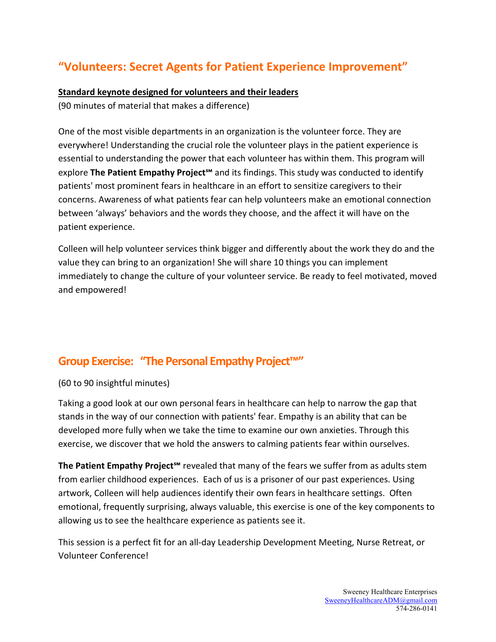# **"Volunteers: Secret Agents for Patient Experience Improvement"**

#### **Standard keynote designed for volunteers and their leaders**

(90 minutes of material that makes a difference)

One of the most visible departments in an organization is the volunteer force. They are everywhere! Understanding the crucial role the volunteer plays in the patient experience is essential to understanding the power that each volunteer has within them. This program will explore **The Patient Empathy Project℠** and its findings. This study was conducted to identify patients' most prominent fears in healthcare in an effort to sensitize caregivers to their concerns. Awareness of what patients fear can help volunteers make an emotional connection between 'always' behaviors and the words they choose, and the affect it will have on the patient experience.

Colleen will help volunteer services think bigger and differently about the work they do and the value they can bring to an organization! She will share 10 things you can implement immediately to change the culture of your volunteer service. Be ready to feel motivated, moved and empowered!

### **Group Exercise: "The Personal Empathy Project™"**

#### (60 to 90 insightful minutes)

Taking a good look at our own personal fears in healthcare can help to narrow the gap that stands in the way of our connection with patients' fear. Empathy is an ability that can be developed more fully when we take the time to examine our own anxieties. Through this exercise, we discover that we hold the answers to calming patients fear within ourselves.

The Patient Empathy Project<sup>s</sup><sup>m</sup> revealed that many of the fears we suffer from as adults stem from earlier childhood experiences. Each of us is a prisoner of our past experiences. Using artwork, Colleen will help audiences identify their own fears in healthcare settings. Often emotional, frequently surprising, always valuable, this exercise is one of the key components to allowing us to see the healthcare experience as patients see it.

This session is a perfect fit for an all-day Leadership Development Meeting, Nurse Retreat, or Volunteer Conference!